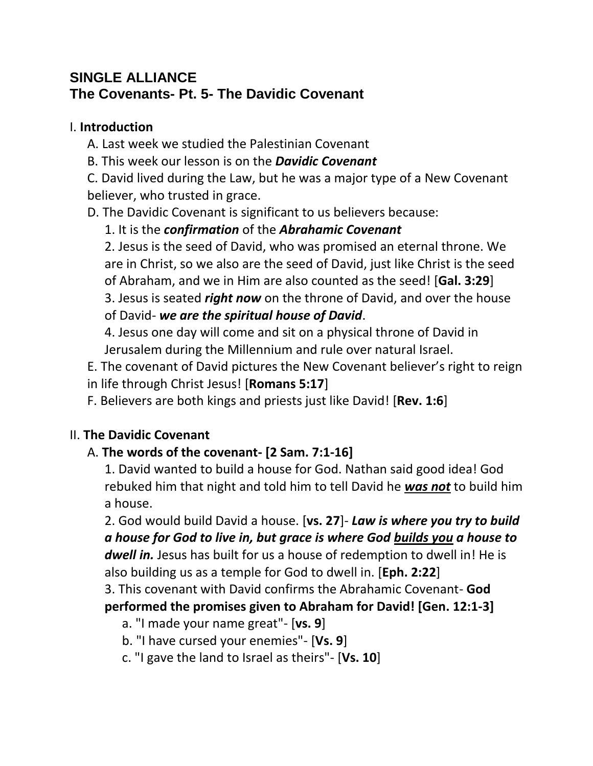# **SINGLE ALLIANCE The Covenants- Pt. 5- The Davidic Covenant**

#### I. **Introduction**

- A. Last week we studied the Palestinian Covenant
- B. This week our lesson is on the *Davidic Covenant*

C. David lived during the Law, but he was a major type of a New Covenant believer, who trusted in grace.

D. The Davidic Covenant is significant to us believers because:

# 1. It is the *confirmation* of the *Abrahamic Covenant*

2. Jesus is the seed of David, who was promised an eternal throne. We are in Christ, so we also are the seed of David, just like Christ is the seed of Abraham, and we in Him are also counted as the seed! [**Gal. 3:29**] 3. Jesus is seated *right now* on the throne of David, and over the house of David- *we are the spiritual house of David*.

4. Jesus one day will come and sit on a physical throne of David in Jerusalem during the Millennium and rule over natural Israel.

E. The covenant of David pictures the New Covenant believer's right to reign in life through Christ Jesus! [**Romans 5:17**]

F. Believers are both kings and priests just like David! [**Rev. 1:6**]

# II. **The Davidic Covenant**

# A. **The words of the covenant- [2 Sam. 7:1-16]**

1. David wanted to build a house for God. Nathan said good idea! God rebuked him that night and told him to tell David he *was not* to build him a house.

2. God would build David a house. [**vs. 27**]- *Law is where you try to build a house for God to live in, but grace is where God builds you a house to dwell in.* Jesus has built for us a house of redemption to dwell in! He is also building us as a temple for God to dwell in. [**Eph. 2:22**]

3. This covenant with David confirms the Abrahamic Covenant- **God performed the promises given to Abraham for David! [Gen. 12:1-3]**

a. "I made your name great"- [**vs. 9**]

b. "I have cursed your enemies"- [**Vs. 9**]

c. "I gave the land to Israel as theirs"- [**Vs. 10**]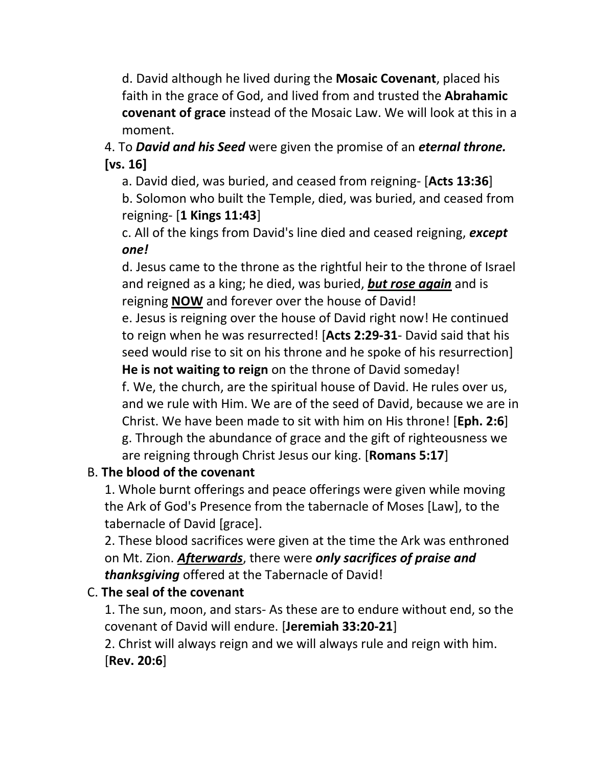d. David although he lived during the **Mosaic Covenant**, placed his faith in the grace of God, and lived from and trusted the **Abrahamic covenant of grace** instead of the Mosaic Law. We will look at this in a moment.

4. To *David and his Seed* were given the promise of an *eternal throne.*  **[vs. 16]**

a. David died, was buried, and ceased from reigning- [**Acts 13:36**] b. Solomon who built the Temple, died, was buried, and ceased from reigning- [**1 Kings 11:43**]

c. All of the kings from David's line died and ceased reigning, *except one!*

d. Jesus came to the throne as the rightful heir to the throne of Israel and reigned as a king; he died, was buried, *but rose again* and is reigning **NOW** and forever over the house of David!

e. Jesus is reigning over the house of David right now! He continued to reign when he was resurrected! [**Acts 2:29-31**- David said that his seed would rise to sit on his throne and he spoke of his resurrection] **He is not waiting to reign** on the throne of David someday! f. We, the church, are the spiritual house of David. He rules over us, and we rule with Him. We are of the seed of David, because we are in Christ. We have been made to sit with him on His throne! [**Eph. 2:6**] g. Through the abundance of grace and the gift of righteousness we are reigning through Christ Jesus our king. [**Romans 5:17**]

# B. **The blood of the covenant**

1. Whole burnt offerings and peace offerings were given while moving the Ark of God's Presence from the tabernacle of Moses [Law], to the tabernacle of David [grace].

2. These blood sacrifices were given at the time the Ark was enthroned on Mt. Zion. *Afterwards*, there were *only sacrifices of praise and thanksgiving* offered at the Tabernacle of David!

### C. **The seal of the covenant**

1. The sun, moon, and stars- As these are to endure without end, so the covenant of David will endure. [**Jeremiah 33:20-21**]

2. Christ will always reign and we will always rule and reign with him. [**Rev. 20:6**]